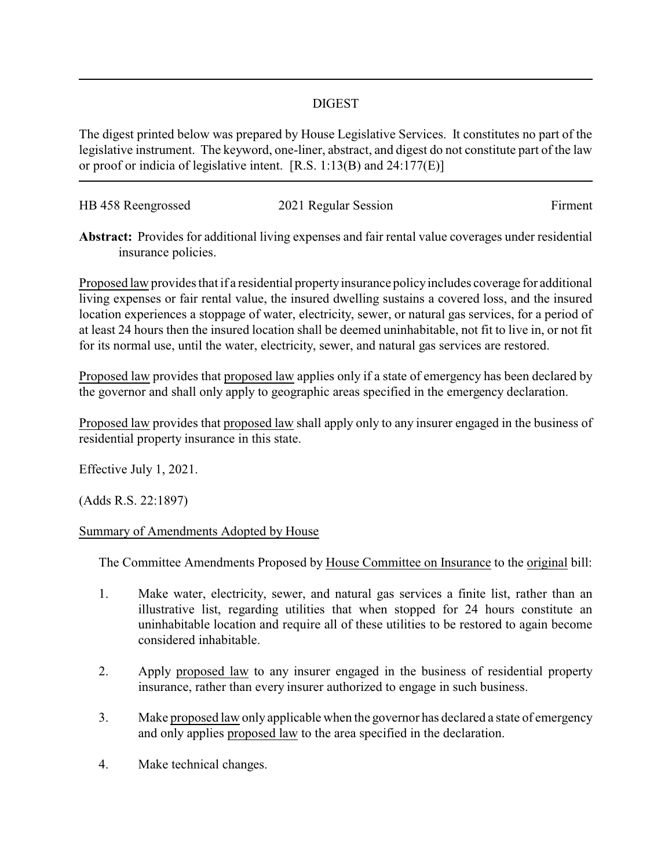## DIGEST

The digest printed below was prepared by House Legislative Services. It constitutes no part of the legislative instrument. The keyword, one-liner, abstract, and digest do not constitute part of the law or proof or indicia of legislative intent. [R.S. 1:13(B) and 24:177(E)]

| HB 458 Reengrossed | 2021 Regular Session | Firment |
|--------------------|----------------------|---------|
|                    |                      |         |

**Abstract:** Provides for additional living expenses and fair rental value coverages under residential insurance policies.

Proposed law provides that if a residential propertyinsurance policyincludes coverage for additional living expenses or fair rental value, the insured dwelling sustains a covered loss, and the insured location experiences a stoppage of water, electricity, sewer, or natural gas services, for a period of at least 24 hours then the insured location shall be deemed uninhabitable, not fit to live in, or not fit for its normal use, until the water, electricity, sewer, and natural gas services are restored.

Proposed law provides that proposed law applies only if a state of emergency has been declared by the governor and shall only apply to geographic areas specified in the emergency declaration.

Proposed law provides that proposed law shall apply only to any insurer engaged in the business of residential property insurance in this state.

Effective July 1, 2021.

(Adds R.S. 22:1897)

## Summary of Amendments Adopted by House

The Committee Amendments Proposed by House Committee on Insurance to the original bill:

- 1. Make water, electricity, sewer, and natural gas services a finite list, rather than an illustrative list, regarding utilities that when stopped for 24 hours constitute an uninhabitable location and require all of these utilities to be restored to again become considered inhabitable.
- 2. Apply proposed law to any insurer engaged in the business of residential property insurance, rather than every insurer authorized to engage in such business.
- 3. Make proposed law only applicable when the governor has declared a state of emergency and only applies proposed law to the area specified in the declaration.
- 4. Make technical changes.